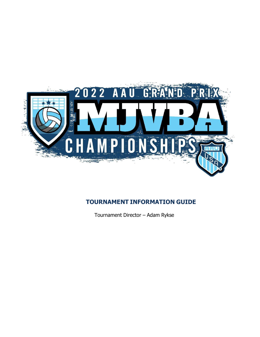

## **TOURNAMENT INFORMATION GUIDE**

Tournament Director – Adam Rykse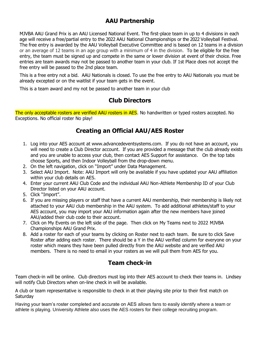## **AAU Partnership**

MJVBA AAU Grand Prix is an AAU Licensed National Event. The first-place team in up to 4 divisions in each age will receive a free/partial entry to the 2022 AAU National Championships or the 2022 Volleyball Festival. The free entry is awarded by the AAU Volleyball Executive Committee and is based on 12 teams in a division or an average of 12 teams in an age group with a minimum of 4 in the division. To be eligible for the free entry, the team must be signed up and compete in the same or lower division at event of their choice. Free entries are team awards may not be passed to another team in your club. If 1st Place does not accept the free entry will be passed to the 2nd place team.

This is a free entry not a bid. AAU Nationals is closed. To use the free entry to AAU Nationals you must be already excepted or on the waitlist if your team gets in the event.

This is a team award and my not be passed to another team in your club

## **Club Directors**

The only acceptable rosters are verified AAU rosters in AES. No handwritten or typed rosters accepted. No Exceptions. No official roster No play!

# **Creating an Official AAU/AES Roster**

- 1. Log into your AES account at www.advancedeventsystems.com. If you do not have an account, you will need to create a Club Director account. If you are provided a message that the club already exists and you are unable to access your club, then contact AES Support for assistance. On the top tabs choose Sports, and then Indoor Volleyball from the drop-down menu.
- 2. On the left navigation, click on "Import" under Data Management.
- 3. Select AAU Import. Note: AAU Import will only be available if you have updated your AAU affiliation within your club details on AES.
- 4. Enter your current AAU Club Code and the individual AAU Non-Athlete Membership ID of your Club Director listed on your AAU account.
- 5. Click "Import".
- 6. If you are missing players or staff that have a current AAU membership, their membership is likely not attached to your AAU club membership in the AAU system. To add additional athletes/staff to your AES account, you may import your AAU information again after the new members have joined AAU/added their club code to their account.
- 7. Click on My Events on the left side of the page. Then click on My Teams next to 2022 MJVBA Championships AAU Grand Prix.
- 8. Add a roster for each of your teams by clicking on Roster next to each team. Be sure to click Save Roster after adding each roster. There should be a Y in the AAU verified column for everyone on your roster which means they have been pulled directly from the AAU website and are verified AAU members. There is no need to email in your rosters as we will pull them from AES for you.

## **Team check-in**

Team check-in will be online. Club directors must log into their AES account to check their teams in. Lindsey will notify Club Directors when on-line check in will be available.

A club or team representative is responsible to check in at their playing site prior to their first match on **Saturday** 

Having your team's roster completed and accurate on AES allows fans to easily identify where a team or athlete is playing. University Athlete also uses the AES rosters for their college recruiting program.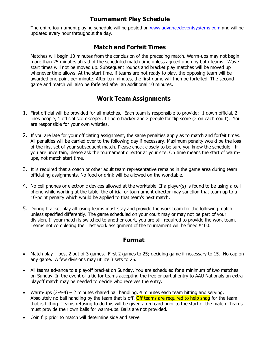## **Tournament Play Schedule**

The entire tournament playing schedule will be posted on [www.advancedeventsystems.com](http://www.advancedeventsystems.com/) and will be updated every hour throughout the day.

## **Match and Forfeit Times**

Matches will begin 10 minutes from the conclusion of the preceding match. Warm-ups may not begin more than 25 minutes ahead of the scheduled match time unless agreed upon by both teams. Wave start times will not be moved up. Subsequent rounds and bracket play matches will be moved up whenever time allows. At the start time, if teams are not ready to play, the opposing team will be awarded one point per minute. After ten minutes, the first game will then be forfeited. The second game and match will also be forfeited after an additional 10 minutes.

## **Work Team Assignments**

- 1. First official will be provided for all matches. Each team is responsible to provide: 1 down official, 2 lines people, 1 official scorekeeper, 1 libero tracker and 2 people for flip score (2 on each court). You are responsible for your own whistles.
- 2. If you are late for your officiating assignment, the same penalties apply as to match and forfeit times. All penalties will be carried over to the following day if necessary. Maximum penalty would be the loss of the first set of your subsequent match. Please check closely to be sure you know the schedule. If you are uncertain, please ask the tournament director at your site. On time means the start of warmups, not match start time.
- 3. It is required that a coach or other adult team representative remains in the game area during team officiating assignments. No food or drink will be allowed on the worktable.
- 4. No cell phones or electronic devices allowed at the worktable. If a player(s) is found to be using a cell phone while working at the table, the official or tournament director may sanction that team up to a 10-point penalty which would be applied to that team's next match.
- 5. During bracket play all losing teams must stay and provide the work team for the following match unless specified differently. The game scheduled on your court may or may not be part of your division. If your match is switched to another court, you are still required to provide the work team. Teams not completing their last work assignment of the tournament will be fined \$100.

### **Format**

- Match play best 2 out of 3 games. First 2 games to 25; deciding game if necessary to 15. No cap on any game. A few divisions may utilize 3 sets to 25.
- All teams advance to a playoff bracket on Sunday. You are scheduled for a minimum of two matches on Sunday. In the event of a tie for teams accepting the free or partial entry to AAU Nationals an extra playoff match may be needed to decide who receives the entry.
- Warm-ups  $(2-4-4)$  2 minutes shared ball handling, 4 minutes each team hitting and serving. Absolutely no ball handling by the team that is off. Off teams are required to help shag for the team that is hitting. Teams refusing to do this will be given a red card prior to the start of the match. Teams must provide their own balls for warm-ups. Balls are not provided.
- Coin flip prior to match will determine side and serve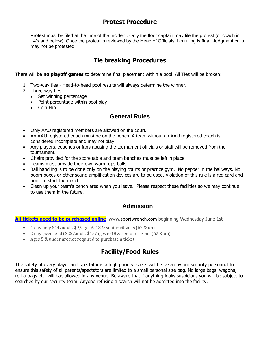## **Protest Procedure**

Protest must be filed at the time of the incident. Only the floor captain may file the protest (or coach in 14's and below). Once the protest is reviewed by the Head of Officials, his ruling is final. Judgment calls may not be protested.

# **Tie breaking Procedures**

There will be **no playoff games** to determine final placement within a pool. All Ties will be broken:

- 1. Two-way ties Head-to-head pool results will always determine the winner.
- 2. Three-way ties
	- Set winning percentage
	- Point percentage within pool play
	- Coin Flip

## **General Rules**

- Only AAU registered members are allowed on the court.
- An AAU registered coach must be on the bench. A team without an AAU registered coach is considered incomplete and may not play.
- Any players, coaches or fans abusing the tournament officials or staff will be removed from the tournament.
- Chairs provided for the score table and team benches must be left in place
- Teams must provide their own warm-ups balls.
- Ball handling is to be done only on the playing courts or practice gym. No pepper in the hallways. No boom boxes or other sound amplification devices are to be used. Violation of this rule is a red card and point to start the match.
- Clean up your team's bench area when you leave. Please respect these facilities so we may continue to use them in the future.

## **Admission**

**All tickets need to be purchased online** www**.**sportwrench.com beginning Wednesday June 1st

- 1 day only \$14/adult. \$9/ages 6-18 & senior citizens (62 & up)
- 2 day (weekend) \$25/adult. \$15/ages 6-18 & senior citizens (62 & up)
- Ages 5 & under are not required to purchase a ticket

## **Facility/Food Rules**

The safety of every player and spectator is a high priority, steps will be taken by our security personnel to ensure this safety of all parents/spectators are limited to a small personal size bag. No large bags, wagons, roll-a-bags etc. will bae allowed in any venue. Be aware that if anything looks suspicious you will be subject to searches by our security team. Anyone refusing a search will not be admitted into the facility.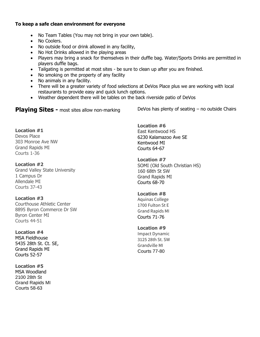#### **To keep a safe clean environment for everyone**

- No Team Tables (You may not bring in your own table).
- No Coolers.
- No outside food or drink allowed in any facility,
- No Hot Drinks allowed in the playing areas
- Players may bring a snack for themselves in their duffle bag. Water/Sports Drinks are permitted in players duffle bags.
- Tailgating is permitted at most sites be sure to clean up after you are finished.
- No smoking on the property of any facility
- No animals in any facility.
- There will be a greater variety of food selections at DeVos Place plus we are working with local restaurants to provide easy and quick lunch options.
- Weather dependent there will be tables on the back riverside patio of DeVos

**Playing Sites -** most sites allow non-marking

DeVos has plenty of seating – no outside Chairs

#### **Location #1**

Devos Place 303 Monroe Ave NW Grand Rapids MI Courts 1-36

### **Location #2**

Grand Valley State University 1 Campus Dr Allendale MI Courts 37-43

### **Location #3**

Courthouse Athletic Center 8895 Byron Commerce Dr SW Byron Center MI Courts 44-51

### **Location #4**

MSA Fieldhouse 5435 28th St. Ct. SE, Grand Rapids MI Courts 52-57

**Location #5** MSA Woodland 2100 28th St Grand Rapids MI Courts 58-63

**Location #6** East Kentwood HS 6230 Kalamazoo Ave SE Kentwood MI Courts 64-67

**Location #7** SOMI (Old South Christian HS) 160 68th St SW Grand Rapids MI Courts 68-70

### **Location #8**

Aquinas College 1700 Fulton St E Grand Rapids MI Courts 71-76

#### **Location #9**

Impact Dynamic 3125 28th St. SW Grandville MI Courts 77-80